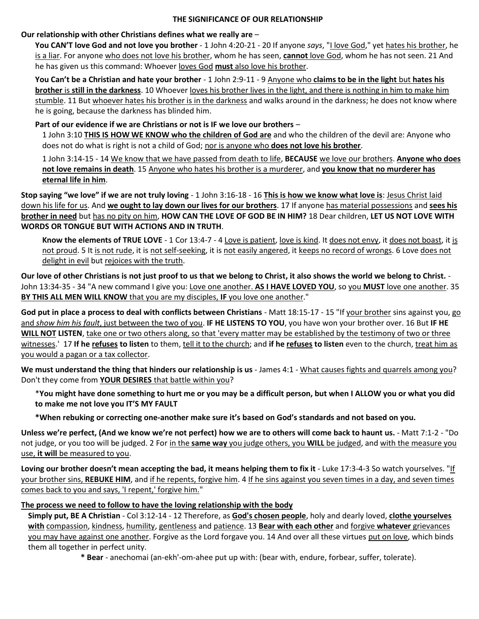### **THE SIGNIFICANCE OF OUR RELATIONSHIP**

### **Our relationship with other Christians defines what we really are** –

**You CAN'T love God and not love you brother** - 1 John 4:20-21 - 20 If anyone *says*, "I love God," yet hates his brother, he is a liar. For anyone who does not love his brother, whom he has seen, **cannot** love God, whom he has not seen. 21 And he has given us this command: Whoever loves God **must** also love his brother.

**You Can't be a Christian and hate your brother** - 1 John 2:9-11 - 9 Anyone who **claims to be in the light** but **hates his brother** is **still in the darkness**. 10 Whoever loves his brother lives in the light, and there is nothing in him to make him stumble. 11 But whoever hates his brother is in the darkness and walks around in the darkness; he does not know where he is going, because the darkness has blinded him.

## **Part of our evidence if we are Christians or not is IF we love our brothers** –

1 John 3:10 **THIS IS HOW WE KNOW who the children of God are** and who the children of the devil are: Anyone who does not do what is right is not a child of God; nor is anyone who **does not love his brother**.

1 John 3:14-15 - 14 We know that we have passed from death to life, **BECAUSE** we love our brothers. **Anyone who does not love remains in death**. 15 Anyone who hates his brother is a murderer, and **you know that no murderer has eternal life in him**.

**Stop saying "we love" if we are not truly loving** - 1 John 3:16-18 - 16 **This is how we know what love is**: Jesus Christ laid down his life for us. And **we ought to lay down our lives for our brothers**. 17 If anyone has material possessions and **sees his brother in need** but has no pity on him, **HOW CAN THE LOVE OF GOD BE IN HIM?** 18 Dear children, **LET US NOT LOVE WITH WORDS OR TONGUE BUT WITH ACTIONS AND IN TRUTH**.

**Know the elements of TRUE LOVE** - 1 Cor 13:4-7 - 4 Love is patient, love is kind. It does not envy, it does not boast, it is not proud. 5 It is not rude, it is not self-seeking, it is not easily angered, it keeps no record of wrongs. 6 Love does not delight in evil but rejoices with the truth.

**Our love of other Christians is not just proof to us that we belong to Christ, it also shows the world we belong to Christ.** - John 13:34-35 - 34 "A new command I give you: Love one another. **AS I HAVE LOVED YOU**, so you **MUST** love one another. 35 **BY THIS ALL MEN WILL KNOW** that you are my disciples, **IF** you love one another."

**God put in place a process to deal with conflicts between Christians** - Matt 18:15-17 - 15 "If your brother sins against you, go and *show him his fault*, just between the two of you. **IF HE LISTENS TO YOU**, you have won your brother over. 16 But **IF HE WILL NOT LISTEN**, take one or two others along, so that 'every matter may be established by the testimony of two or three witnesses.' 17 **If he refuses to listen** to them, tell it to the church; and **if he refuses to listen** even to the church, treat him as you would a pagan or a tax collector.

**We must understand the thing that hinders our relationship is us** - James 4:1 - What causes fights and quarrels among you? Don't they come from **YOUR DESIRES** that battle within you?

\***You might have done something to hurt me or you may be a difficult person, but when I ALLOW you or what you did to make me not love you IT'S MY FAULT**

**\*When rebuking or correcting one-another make sure it's based on God's standards and not based on you.**

**Unless we're perfect, (And we know we're not perfect) how we are to others will come back to haunt us.** - Matt 7:1-2 - "Do not judge, or you too will be judged. 2 For in the **same way** you judge others, you **WILL** be judged, and with the measure you use, **it will** be measured to you.

**Loving our brother doesn't mean accepting the bad, it means helping them to fix it** - Luke 17:3-4-3 So watch yourselves. "If your brother sins, **REBUKE HIM**, and if he repents, forgive him. 4 If he sins against you seven times in a day, and seven times comes back to you and says, 'I repent,' forgive him."

# **The process we need to follow to have the loving relationship with the body**

**Simply put, BE A Christian** - Col 3:12-14 - 12 Therefore, as **God's chosen people**, holy and dearly loved, **clothe yourselves with** compassion, kindness, humility, gentleness and patience. 13 **Bear with each other** and forgive **whatever** grievances you may have against one another. Forgive as the Lord forgave you. 14 And over all these virtues put on love, which binds them all together in perfect unity.

**\* Bear** - anechomai (an-ekh'-om-ahee put up with: (bear with, endure, forbear, suffer, tolerate).